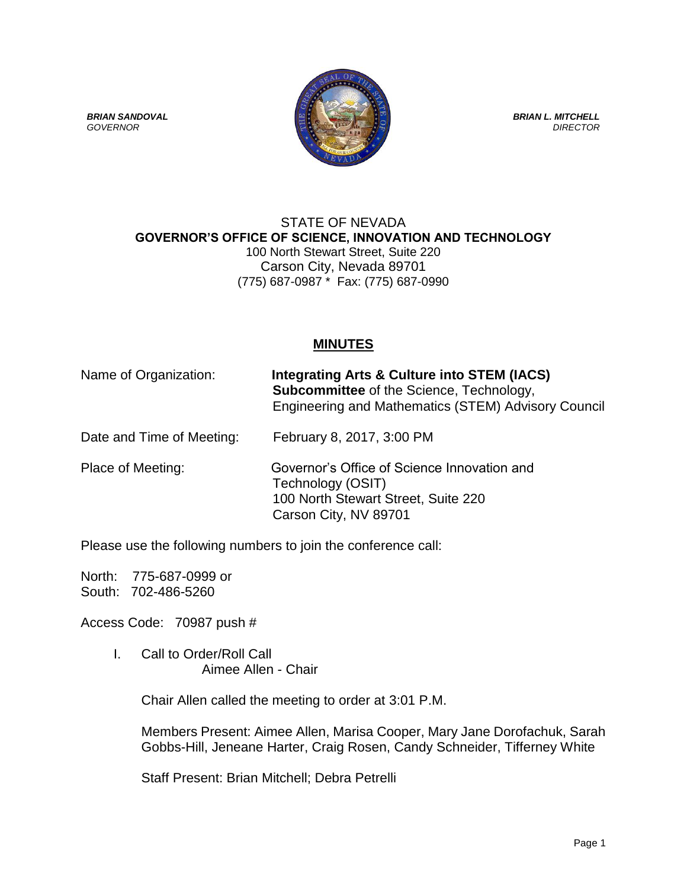

## STATE OF NEVADA **GOVERNOR'S OFFICE OF SCIENCE, INNOVATION AND TECHNOLOGY** 100 North Stewart Street, Suite 220 Carson City, Nevada 89701 (775) 687-0987 \* Fax: (775) 687-0990

## **MINUTES**

| Name of Organization:     | <b>Integrating Arts &amp; Culture into STEM (IACS)</b><br>Subcommittee of the Science, Technology,<br>Engineering and Mathematics (STEM) Advisory Council |
|---------------------------|-----------------------------------------------------------------------------------------------------------------------------------------------------------|
| Date and Time of Meeting: | February 8, 2017, 3:00 PM                                                                                                                                 |
| Place of Meeting:         | Governor's Office of Science Innovation and<br>Technology (OSIT)<br>100 North Stewart Street, Suite 220<br>Carson City, NV 89701                          |

Please use the following numbers to join the conference call:

North: 775-687-0999 or South: 702-486-5260

Access Code: 70987 push #

I. Call to Order/Roll Call Aimee Allen - Chair

Chair Allen called the meeting to order at 3:01 P.M.

Members Present: Aimee Allen, Marisa Cooper, Mary Jane Dorofachuk, Sarah Gobbs-Hill, Jeneane Harter, Craig Rosen, Candy Schneider, Tifferney White

Staff Present: Brian Mitchell; Debra Petrelli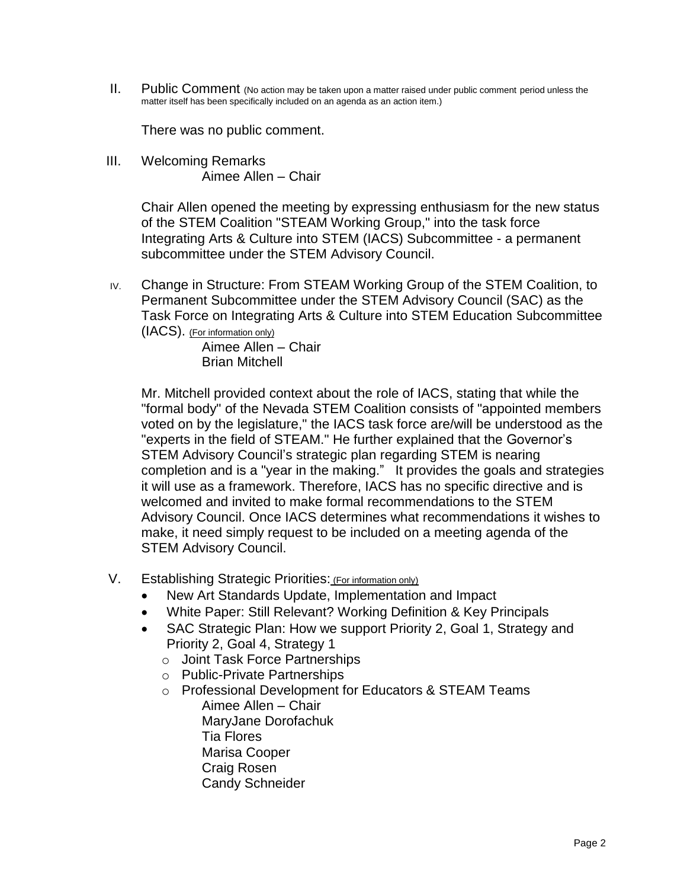II. Public Comment (No action may be taken upon a matter raised under public comment period unless the matter itself has been specifically included on an agenda as an action item.)

There was no public comment.

III. Welcoming Remarks Aimee Allen – Chair

> Chair Allen opened the meeting by expressing enthusiasm for the new status of the STEM Coalition "STEAM Working Group," into the task force Integrating Arts & Culture into STEM (IACS) Subcommittee - a permanent subcommittee under the STEM Advisory Council.

IV. Change in Structure: From STEAM Working Group of the STEM Coalition, to Permanent Subcommittee under the STEM Advisory Council (SAC) as the Task Force on Integrating Arts & Culture into STEM Education Subcommittee (IACS). (For information only)

> Aimee Allen – Chair Brian Mitchell

Mr. Mitchell provided context about the role of IACS, stating that while the "formal body" of the Nevada STEM Coalition consists of "appointed members voted on by the legislature," the IACS task force are/will be understood as the "experts in the field of STEAM." He further explained that the Governor's STEM Advisory Council's strategic plan regarding STEM is nearing completion and is a "year in the making." It provides the goals and strategies it will use as a framework. Therefore, IACS has no specific directive and is welcomed and invited to make formal recommendations to the STEM Advisory Council. Once IACS determines what recommendations it wishes to make, it need simply request to be included on a meeting agenda of the STEM Advisory Council.

- V. Establishing Strategic Priorities: (For information only)
	- New Art Standards Update, Implementation and Impact
	- White Paper: Still Relevant? Working Definition & Key Principals
	- SAC Strategic Plan: How we support Priority 2, Goal 1, Strategy and Priority 2, Goal 4, Strategy 1
		- o Joint Task Force Partnerships
		- o Public-Private Partnerships
		- o Professional Development for Educators & STEAM Teams Aimee Allen – Chair MaryJane Dorofachuk Tia Flores Marisa Cooper Craig Rosen
			- Candy Schneider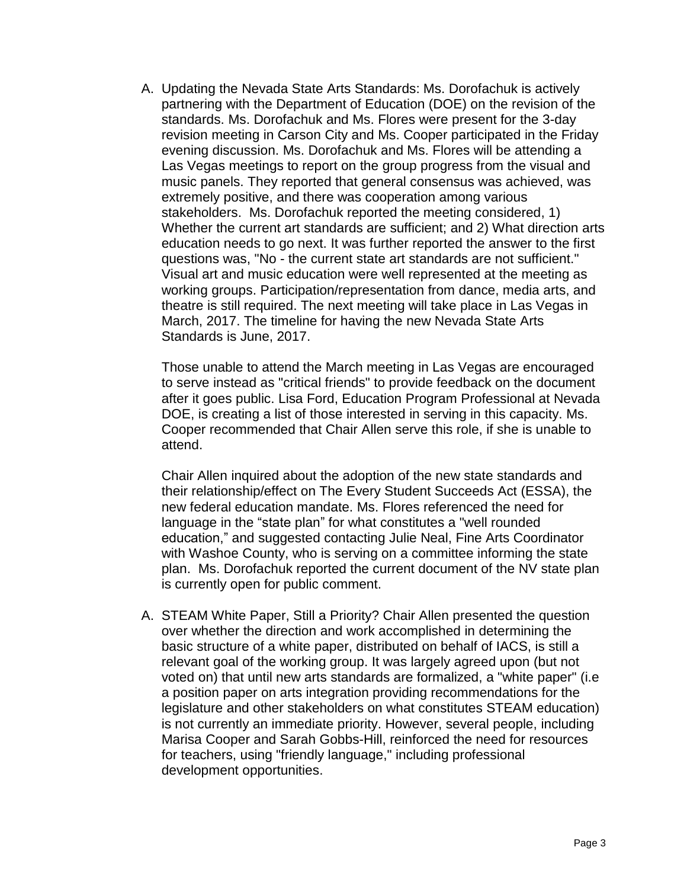A. Updating the Nevada State Arts Standards: Ms. Dorofachuk is actively partnering with the Department of Education (DOE) on the revision of the standards. Ms. Dorofachuk and Ms. Flores were present for the 3-day revision meeting in Carson City and Ms. Cooper participated in the Friday evening discussion. Ms. Dorofachuk and Ms. Flores will be attending a Las Vegas meetings to report on the group progress from the visual and music panels. They reported that general consensus was achieved, was extremely positive, and there was cooperation among various stakeholders. Ms. Dorofachuk reported the meeting considered, 1) Whether the current art standards are sufficient; and 2) What direction arts education needs to go next. It was further reported the answer to the first questions was, "No - the current state art standards are not sufficient." Visual art and music education were well represented at the meeting as working groups. Participation/representation from dance, media arts, and theatre is still required. The next meeting will take place in Las Vegas in March, 2017. The timeline for having the new Nevada State Arts Standards is June, 2017.

Those unable to attend the March meeting in Las Vegas are encouraged to serve instead as "critical friends" to provide feedback on the document after it goes public. Lisa Ford, Education Program Professional at Nevada DOE, is creating a list of those interested in serving in this capacity. Ms. Cooper recommended that Chair Allen serve this role, if she is unable to attend.

Chair Allen inquired about the adoption of the new state standards and their relationship/effect on The Every Student Succeeds Act (ESSA), the new federal education mandate. Ms. Flores referenced the need for language in the "state plan" for what constitutes a "well rounded education," and suggested contacting Julie Neal, Fine Arts Coordinator with Washoe County, who is serving on a committee informing the state plan. Ms. Dorofachuk reported the current document of the NV state plan is currently open for public comment.

A. STEAM White Paper, Still a Priority? Chair Allen presented the question over whether the direction and work accomplished in determining the basic structure of a white paper, distributed on behalf of IACS, is still a relevant goal of the working group. It was largely agreed upon (but not voted on) that until new arts standards are formalized, a "white paper" (i.e a position paper on arts integration providing recommendations for the legislature and other stakeholders on what constitutes STEAM education) is not currently an immediate priority. However, several people, including Marisa Cooper and Sarah Gobbs-Hill, reinforced the need for resources for teachers, using "friendly language," including professional development opportunities.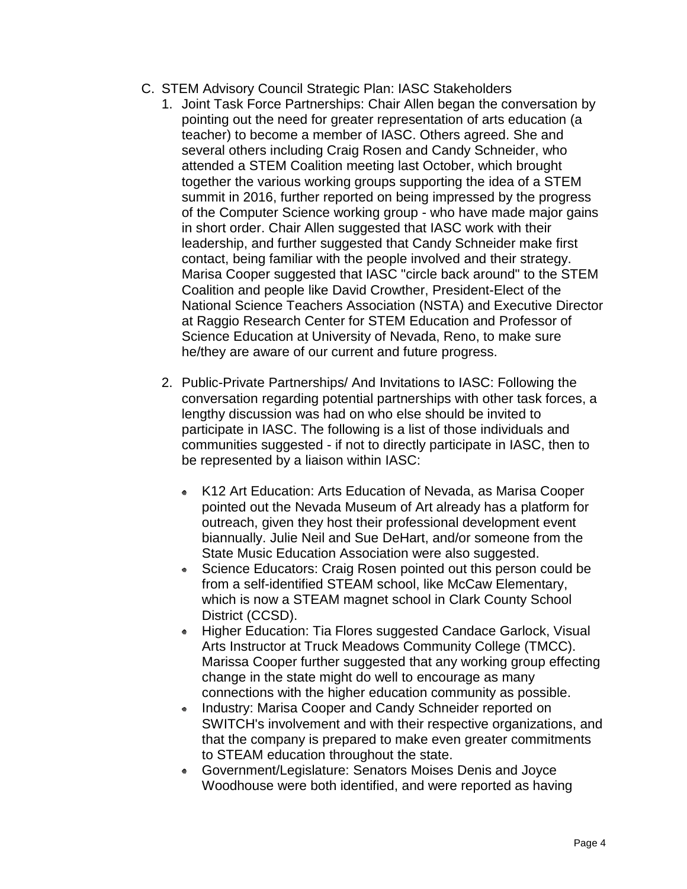- C. STEM Advisory Council Strategic Plan: IASC Stakeholders
	- 1. Joint Task Force Partnerships: Chair Allen began the conversation by pointing out the need for greater representation of arts education (a teacher) to become a member of IASC. Others agreed. She and several others including Craig Rosen and Candy Schneider, who attended a STEM Coalition meeting last October, which brought together the various working groups supporting the idea of a STEM summit in 2016, further reported on being impressed by the progress of the Computer Science working group - who have made major gains in short order. Chair Allen suggested that IASC work with their leadership, and further suggested that Candy Schneider make first contact, being familiar with the people involved and their strategy. Marisa Cooper suggested that IASC "circle back around" to the STEM Coalition and people like David Crowther, President-Elect of the National Science Teachers Association (NSTA) and Executive Director at Raggio Research Center for STEM Education and Professor of Science Education at University of Nevada, Reno, to make sure he/they are aware of our current and future progress.
	- 2. Public-Private Partnerships/ And Invitations to IASC: Following the conversation regarding potential partnerships with other task forces, a lengthy discussion was had on who else should be invited to participate in IASC. The following is a list of those individuals and communities suggested - if not to directly participate in IASC, then to be represented by a liaison within IASC:
		- K12 Art Education: Arts Education of Nevada, as Marisa Cooper pointed out the Nevada Museum of Art already has a platform for outreach, given they host their professional development event biannually. Julie Neil and Sue DeHart, and/or someone from the State Music Education Association were also suggested.
		- Science Educators: Craig Rosen pointed out this person could be from a self-identified STEAM school, like McCaw Elementary, which is now a STEAM magnet school in Clark County School District (CCSD).
		- Higher Education: Tia Flores suggested Candace Garlock, Visual Arts Instructor at Truck Meadows Community College (TMCC). Marissa Cooper further suggested that any working group effecting change in the state might do well to encourage as many connections with the higher education community as possible.
		- Industry: Marisa Cooper and Candy Schneider reported on SWITCH's involvement and with their respective organizations, and that the company is prepared to make even greater commitments to STEAM education throughout the state.
		- Government/Legislature: Senators Moises Denis and Joyce Woodhouse were both identified, and were reported as having